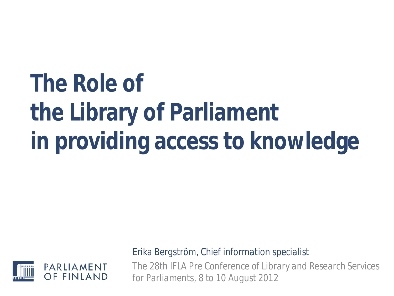# **The Role of the Library of Parliament in providing access to knowledge**



*Erika Bergström, Chief information specialist* 

*The 28th IFLA Pre Conference of Library and Research Services for Parliaments, 8 to 10 August 2012*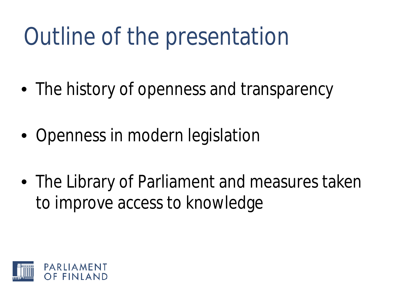# Outline of the presentation

- The history of openness and transparency
- Openness in modern legislation
- The Library of Parliament and measures taken to improve access to knowledge

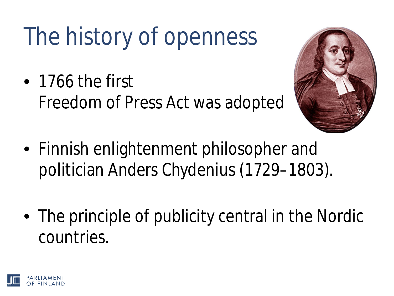# The history of openness

• 1766 the first Freedom of Press Act was adopted



- Finnish enlightenment philosopher and politician Anders Chydenius (1729–1803).
- The principle of publicity central in the Nordic countries.

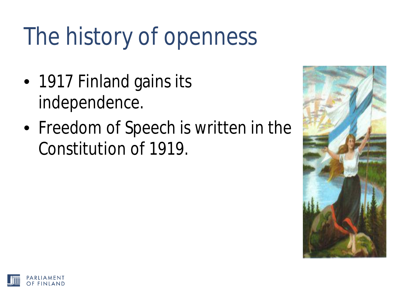# The history of openness

- 1917 Finland gains its independence.
- Freedom of Speech is written in the Constitution of 1919.



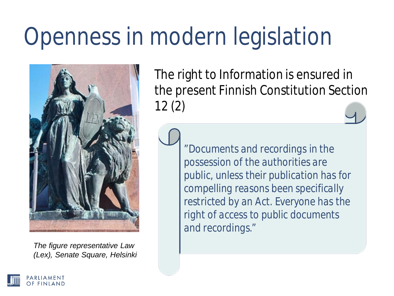## Openness in modern legislation



*The figure representative Law (Lex), Senate Square, Helsinki*

The right to Information is ensured in the present Finnish Constitution Section 12 (2)

> "*Documents and recordings in the possession of the authorities are public, unless their publication has for compelling reasons been specifically restricted by an Act. Everyone has the right of access to public documents and recordings."*

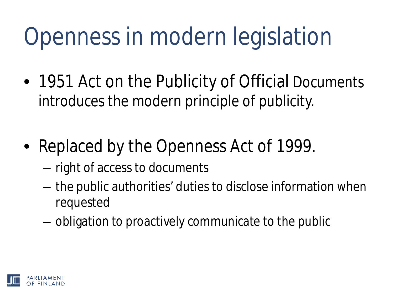## Openness in modern legislation

- 1951 Act on the Publicity of Official Documents introduces the modern principle of publicity.
- Replaced by the Openness Act of 1999.
	- right of access to documents
	- the public authorities' duties to disclose information when requested
	- obligation to proactively communicate to the public

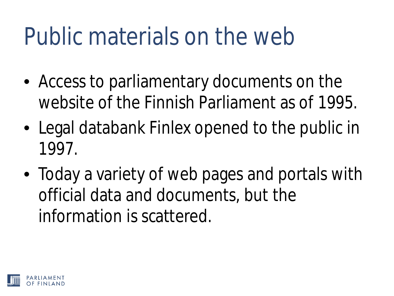#### Public materials on the web

- Access to parliamentary documents on the website of the Finnish Parliament as of 1995.
- Legal databank Finlex opened to the public in 1997.
- Today a variety of web pages and portals with official data and documents, but the information is scattered.

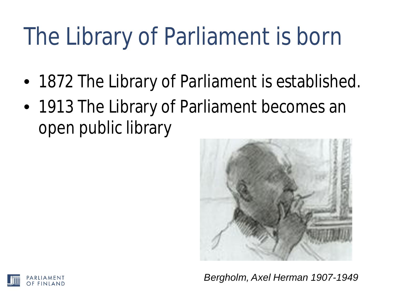## The Library of Parliament is born

- 1872 The Library of Parliament is established.
- 1913 The Library of Parliament becomes an open public library



*Bergholm, Axel Herman 1907-1949*

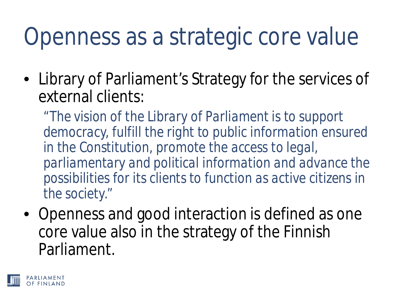### Openness as a strategic core value

• Library of Parliament's Strategy for the services of external clients:

*"The vision of the Library of Parliament is to support democracy, fulfill the right to public information ensured in the Constitution, promote the access to legal, parliamentary and political information and advance the possibilities for its clients to function as active citizens in the society."*

• Openness and good interaction is defined as one core value also in the strategy of the Finnish Parliament.

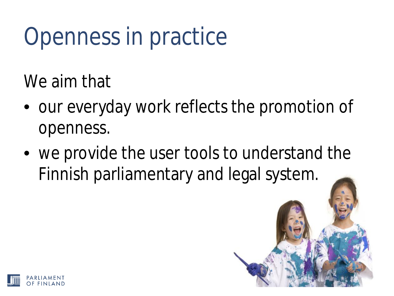## Openness in practice

We aim that

- our everyday work reflects the promotion of openness.
- we provide the user tools to understand the Finnish parliamentary and legal system.

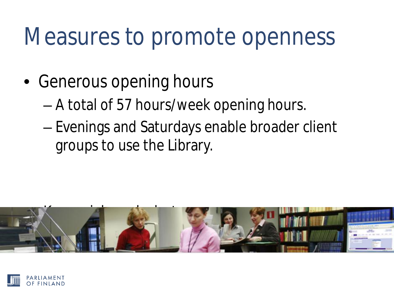#### Measures to promote openness

- Generous opening hours
	- A total of 57 hours/week opening hours.
	- Evenings and Saturdays enable broader client groups to use the Library.



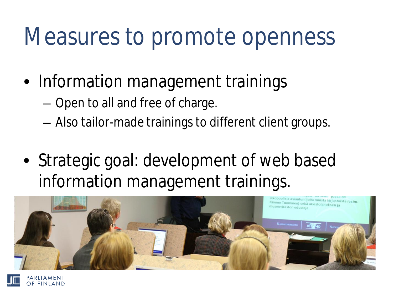#### Measures to promote openness

- Information management trainings
	- Open to all and free of charge.

PARLIAMENT

- Also tailor-made trainings to different client groups.
- Strategic goal: development of web based information management trainings.

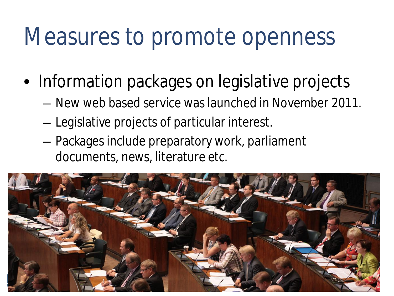#### Measures to promote openness

- Information packages on legislative projects
	- New web based service was launched in November 2011.
	- Legislative projects of particular interest.
	- Packages include preparatory work, parliament documents, news, literature etc.

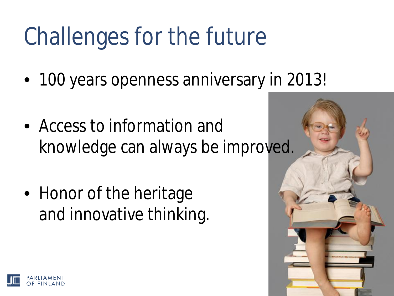## Challenges for the future

- 100 years openness anniversary in 2013!
- Access to information and knowledge can always be improved.
- Honor of the heritage and innovative thinking.

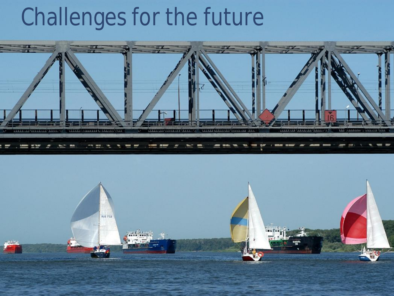#### Challenges for the future